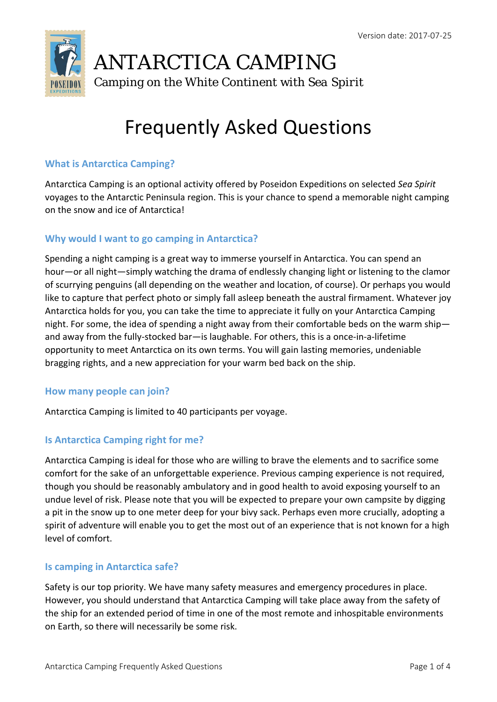

# Frequently Asked Questions

### **What is Antarctica Camping?**

Antarctica Camping is an optional activity offered by Poseidon Expeditions on selected *Sea Spirit* voyages to the Antarctic Peninsula region. This is your chance to spend a memorable night camping on the snow and ice of Antarctica!

### **Why would I want to go camping in Antarctica?**

Spending a night camping is a great way to immerse yourself in Antarctica. You can spend an hour—or all night—simply watching the drama of endlessly changing light or listening to the clamor of scurrying penguins (all depending on the weather and location, of course). Or perhaps you would like to capture that perfect photo or simply fall asleep beneath the austral firmament. Whatever joy Antarctica holds for you, you can take the time to appreciate it fully on your Antarctica Camping night. For some, the idea of spending a night away from their comfortable beds on the warm ship and away from the fully-stocked bar—is laughable. For others, this is a once-in-a-lifetime opportunity to meet Antarctica on its own terms. You will gain lasting memories, undeniable bragging rights, and a new appreciation for your warm bed back on the ship.

#### **How many people can join?**

Antarctica Camping is limited to 40 participants per voyage.

# **Is Antarctica Camping right for me?**

Antarctica Camping is ideal for those who are willing to brave the elements and to sacrifice some comfort for the sake of an unforgettable experience. Previous camping experience is not required, though you should be reasonably ambulatory and in good health to avoid exposing yourself to an undue level of risk. Please note that you will be expected to prepare your own campsite by digging a pit in the snow up to one meter deep for your bivy sack. Perhaps even more crucially, adopting a spirit of adventure will enable you to get the most out of an experience that is not known for a high level of comfort.

#### **Is camping in Antarctica safe?**

Safety is our top priority. We have many safety measures and emergency procedures in place. However, you should understand that Antarctica Camping will take place away from the safety of the ship for an extended period of time in one of the most remote and inhospitable environments on Earth, so there will necessarily be some risk.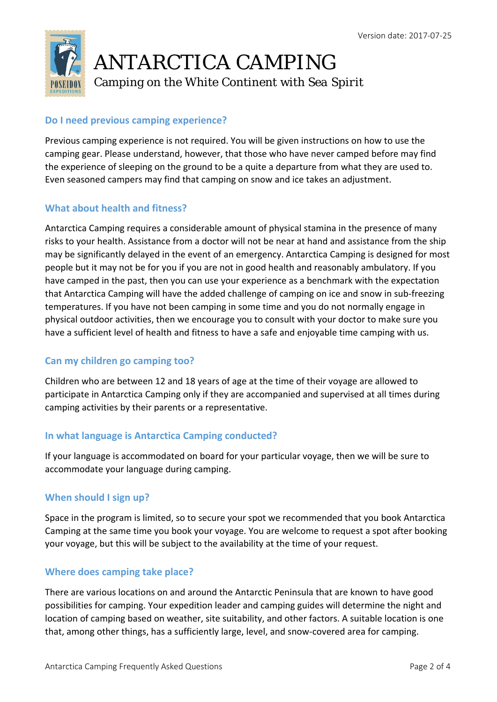

# **Do I need previous camping experience?**

Previous camping experience is not required. You will be given instructions on how to use the camping gear. Please understand, however, that those who have never camped before may find the experience of sleeping on the ground to be a quite a departure from what they are used to. Even seasoned campers may find that camping on snow and ice takes an adjustment.

# **What about health and fitness?**

Antarctica Camping requires a considerable amount of physical stamina in the presence of many risks to your health. Assistance from a doctor will not be near at hand and assistance from the ship may be significantly delayed in the event of an emergency. Antarctica Camping is designed for most people but it may not be for you if you are not in good health and reasonably ambulatory. If you have camped in the past, then you can use your experience as a benchmark with the expectation that Antarctica Camping will have the added challenge of camping on ice and snow in sub‐freezing temperatures. If you have not been camping in some time and you do not normally engage in physical outdoor activities, then we encourage you to consult with your doctor to make sure you have a sufficient level of health and fitness to have a safe and enjoyable time camping with us.

# **Can my children go camping too?**

Children who are between 12 and 18 years of age at the time of their voyage are allowed to participate in Antarctica Camping only if they are accompanied and supervised at all times during camping activities by their parents or a representative.

# **In what language is Antarctica Camping conducted?**

If your language is accommodated on board for your particular voyage, then we will be sure to accommodate your language during camping.

# **When should I sign up?**

Space in the program is limited, so to secure your spot we recommended that you book Antarctica Camping at the same time you book your voyage. You are welcome to request a spot after booking your voyage, but this will be subject to the availability at the time of your request.

# **Where does camping take place?**

There are various locations on and around the Antarctic Peninsula that are known to have good possibilities for camping. Your expedition leader and camping guides will determine the night and location of camping based on weather, site suitability, and other factors. A suitable location is one that, among other things, has a sufficiently large, level, and snow‐covered area for camping.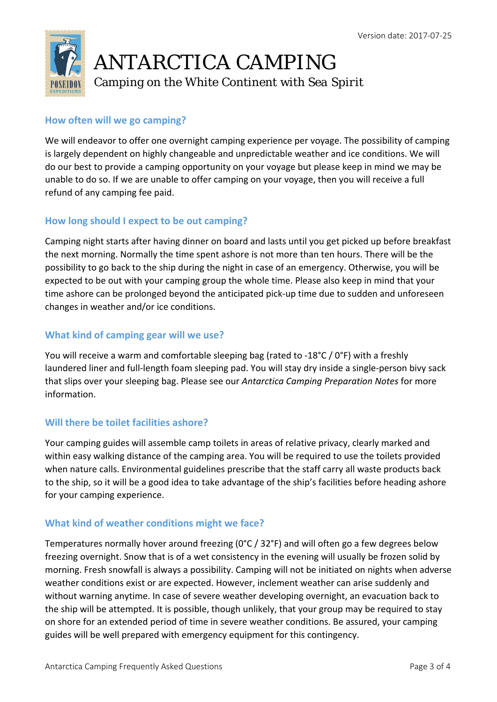

### **How often will we go camping?**

We will endeavor to offer one overnight camping experience per voyage. The possibility of camping is largely dependent on highly changeable and unpredictable weather and ice conditions. We will do our best to provide a camping opportunity on your voyage but please keep in mind we may be unable to do so. If we are unable to offer camping on your voyage, then you will receive a full refund of any camping fee paid.

### **How long should I expect to be out camping?**

Camping night starts after having dinner on board and lasts until you get picked up before breakfast the next morning. Normally the time spent ashore is not more than ten hours. There will be the possibility to go back to the ship during the night in case of an emergency. Otherwise, you will be expected to be out with your camping group the whole time. Please also keep in mind that your time ashore can be prolonged beyond the anticipated pick‐up time due to sudden and unforeseen changes in weather and/or ice conditions.

### **What kind of camping gear will we use?**

You will receive a warm and comfortable sleeping bag (rated to ‐18°C / 0°F) with a freshly laundered liner and full‐length foam sleeping pad. You will stay dry inside a single‐person bivy sack that slips over your sleeping bag. Please see our *Antarctica Camping Preparation Notes* for more information.

# **Will there be toilet facilities ashore?**

Your camping guides will assemble camp toilets in areas of relative privacy, clearly marked and within easy walking distance of the camping area. You will be required to use the toilets provided when nature calls. Environmental guidelines prescribe that the staff carry all waste products back to the ship, so it will be a good idea to take advantage of the ship's facilities before heading ashore for your camping experience.

# **What kind of weather conditions might we face?**

Temperatures normally hover around freezing (0°C / 32°F) and will often go a few degrees below freezing overnight. Snow that is of a wet consistency in the evening will usually be frozen solid by morning. Fresh snowfall is always a possibility. Camping will not be initiated on nights when adverse weather conditions exist or are expected. However, inclement weather can arise suddenly and without warning anytime. In case of severe weather developing overnight, an evacuation back to the ship will be attempted. It is possible, though unlikely, that your group may be required to stay on shore for an extended period of time in severe weather conditions. Be assured, your camping guides will be well prepared with emergency equipment for this contingency.